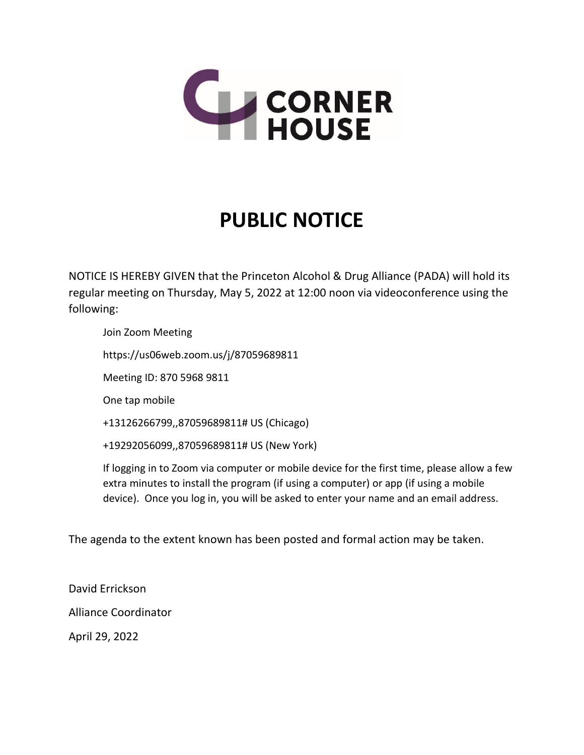

## **PUBLIC NOTICE**

NOTICE IS HEREBY GIVEN that the Princeton Alcohol & Drug Alliance (PADA) will hold its regular meeting on Thursday, May 5, 2022 at 12:00 noon via videoconference using the following:

Join Zoom Meeting

https://us06web.zoom.us/j/87059689811

Meeting ID: 870 5968 9811

One tap mobile

+13126266799,,87059689811# US (Chicago)

+19292056099,,87059689811# US (New York)

If logging in to Zoom via computer or mobile device for the first time, please allow a few extra minutes to install the program (if using a computer) or app (if using a mobile device). Once you log in, you will be asked to enter your name and an email address.

The agenda to the extent known has been posted and formal action may be taken.

David Errickson

Alliance Coordinator

April 29, 2022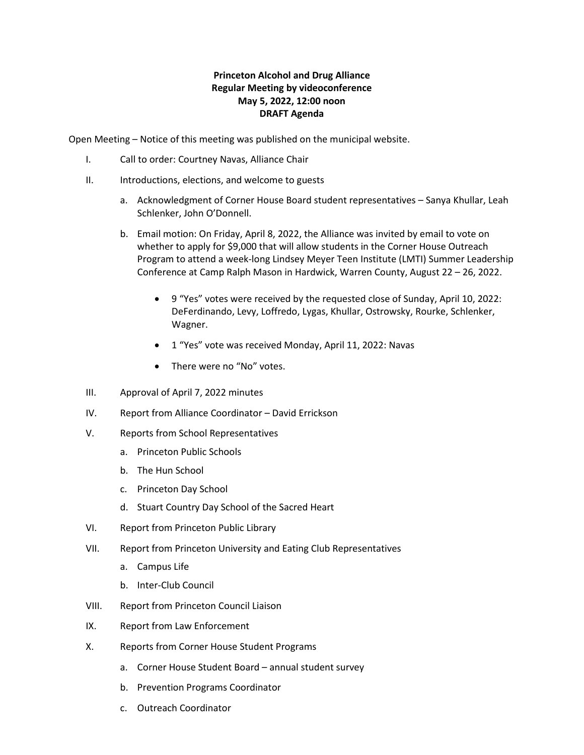## **Princeton Alcohol and Drug Alliance Regular Meeting by videoconference May 5, 2022, 12:00 noon DRAFT Agenda**

Open Meeting – Notice of this meeting was published on the municipal website.

- I. Call to order: Courtney Navas, Alliance Chair
- II. Introductions, elections, and welcome to guests
	- a. Acknowledgment of Corner House Board student representatives Sanya Khullar, Leah Schlenker, John O'Donnell.
	- b. Email motion: On Friday, April 8, 2022, the Alliance was invited by email to vote on whether to apply for \$9,000 that will allow students in the Corner House Outreach Program to attend a week-long Lindsey Meyer Teen Institute (LMTI) Summer Leadership Conference at Camp Ralph Mason in Hardwick, Warren County, August 22 – 26, 2022.
		- 9 "Yes" votes were received by the requested close of Sunday, April 10, 2022: DeFerdinando, Levy, Loffredo, Lygas, Khullar, Ostrowsky, Rourke, Schlenker, Wagner.
		- 1 "Yes" vote was received Monday, April 11, 2022: Navas
		- There were no "No" votes.
- III. Approval of April 7, 2022 minutes
- IV. Report from Alliance Coordinator David Errickson
- V. Reports from School Representatives
	- a. Princeton Public Schools
	- b. The Hun School
	- c. Princeton Day School
	- d. Stuart Country Day School of the Sacred Heart
- VI. Report from Princeton Public Library
- VII. Report from Princeton University and Eating Club Representatives
	- a. Campus Life
	- b. Inter-Club Council
- VIII. Report from Princeton Council Liaison
- IX. Report from Law Enforcement
- X. Reports from Corner House Student Programs
	- a. Corner House Student Board annual student survey
	- b. Prevention Programs Coordinator
	- c. Outreach Coordinator